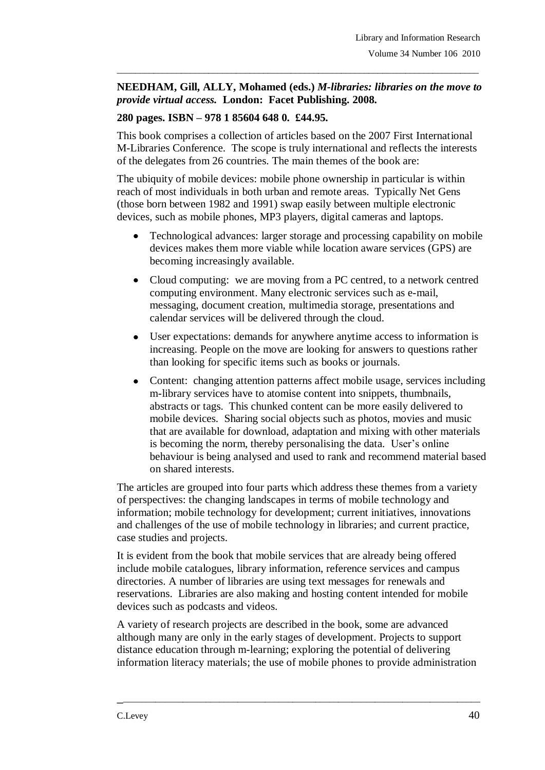## **NEEDHAM, Gill, ALLY, Mohamed (eds.)** *M-libraries: libraries on the move to provide virtual access.* **London: Facet Publishing. 2008.**

\_\_\_\_\_\_\_\_\_\_\_\_\_\_\_\_\_\_\_\_\_\_\_\_\_\_\_\_\_\_\_\_\_\_\_\_\_\_\_\_\_\_\_\_\_\_\_\_\_\_\_\_\_\_\_\_\_\_\_\_\_\_\_\_\_\_\_\_\_\_\_\_\_\_\_\_\_\_\_

## **280 pages. ISBN – 978 1 85604 648 0. £44.95.**

This book comprises a collection of articles based on the 2007 First International M-Libraries Conference. The scope is truly international and reflects the interests of the delegates from 26 countries. The main themes of the book are:

The ubiquity of mobile devices: mobile phone ownership in particular is within reach of most individuals in both urban and remote areas. Typically Net Gens (those born between 1982 and 1991) swap easily between multiple electronic devices, such as mobile phones, MP3 players, digital cameras and laptops.

- Technological advances: larger storage and processing capability on mobile  $\bullet$ devices makes them more viable while location aware services (GPS) are becoming increasingly available.
- Cloud computing: we are moving from a PC centred, to a network centred  $\bullet$ computing environment. Many electronic services such as e-mail, messaging, document creation, multimedia storage, presentations and calendar services will be delivered through the cloud.
- User expectations: demands for anywhere anytime access to information is  $\bullet$ increasing. People on the move are looking for answers to questions rather than looking for specific items such as books or journals.
- Content: changing attention patterns affect mobile usage, services including  $\bullet$ m-library services have to atomise content into snippets, thumbnails, abstracts or tags. This chunked content can be more easily delivered to mobile devices. Sharing social objects such as photos, movies and music that are available for download, adaptation and mixing with other materials is becoming the norm, thereby personalising the data. User's online behaviour is being analysed and used to rank and recommend material based on shared interests.

The articles are grouped into four parts which address these themes from a variety of perspectives: the changing landscapes in terms of mobile technology and information; mobile technology for development; current initiatives, innovations and challenges of the use of mobile technology in libraries; and current practice, case studies and projects.

It is evident from the book that mobile services that are already being offered include mobile catalogues, library information, reference services and campus directories. A number of libraries are using text messages for renewals and reservations. Libraries are also making and hosting content intended for mobile devices such as podcasts and videos.

A variety of research projects are described in the book, some are advanced although many are only in the early stages of development. Projects to support distance education through m-learning; exploring the potential of delivering information literacy materials; the use of mobile phones to provide administration

\_\_\_\_\_\_\_\_\_\_\_\_\_\_\_\_\_\_\_\_\_\_\_\_\_\_\_\_\_\_\_\_\_\_\_\_\_\_\_\_\_\_\_\_\_\_\_\_\_\_\_\_\_\_\_\_\_\_\_\_\_\_\_\_\_\_\_\_\_\_\_\_\_\_\_\_\_\_\_